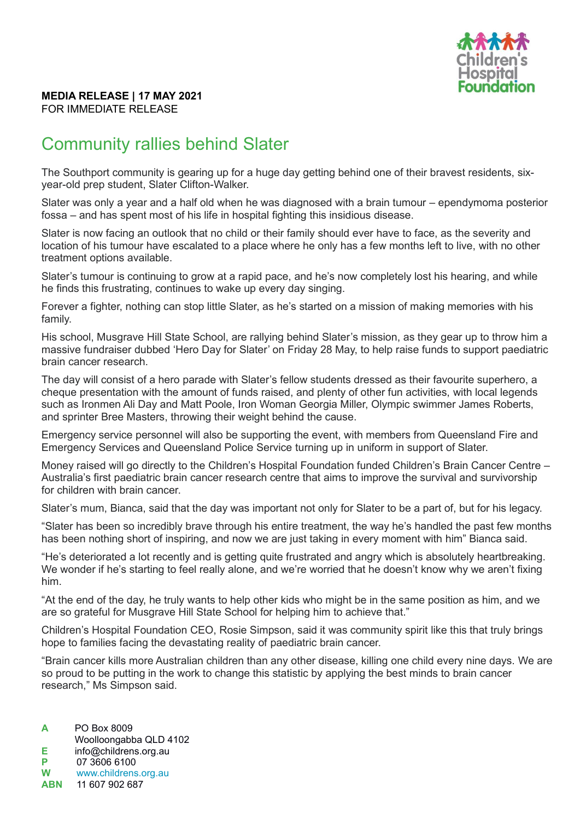

## **MEDIA RELEASE | 17 MAY 2021** FOR IMMEDIATE RELEASE

## Community rallies behind Slater

The Southport community is gearing up for a huge day getting behind one of their bravest residents, sixyear-old prep student, Slater Clifton-Walker.

Slater was only a year and a half old when he was diagnosed with a brain tumour – ependymoma posterior fossa – and has spent most of his life in hospital fighting this insidious disease.

Slater is now facing an outlook that no child or their family should ever have to face, as the severity and location of his tumour have escalated to a place where he only has a few months left to live, with no other treatment options available.

Slater's tumour is continuing to grow at a rapid pace, and he's now completely lost his hearing, and while he finds this frustrating, continues to wake up every day singing.

Forever a fighter, nothing can stop little Slater, as he's started on a mission of making memories with his family.

His school, Musgrave Hill State School, are rallying behind Slater's mission, as they gear up to throw him a massive fundraiser dubbed 'Hero Day for Slater' on Friday 28 May, to help raise funds to support paediatric brain cancer research.

The day will consist of a hero parade with Slater's fellow students dressed as their favourite superhero, a cheque presentation with the amount of funds raised, and plenty of other fun activities, with local legends such as Ironmen Ali Day and Matt Poole, Iron Woman Georgia Miller, Olympic swimmer James Roberts, and sprinter Bree Masters, throwing their weight behind the cause.

Emergency service personnel will also be supporting the event, with members from Queensland Fire and Emergency Services and Queensland Police Service turning up in uniform in support of Slater.

Money raised will go directly to the Children's Hospital Foundation funded Children's Brain Cancer Centre – Australia's first paediatric brain cancer research centre that aims to improve the survival and survivorship for children with brain cancer.

Slater's mum, Bianca, said that the day was important not only for Slater to be a part of, but for his legacy.

"Slater has been so incredibly brave through his entire treatment, the way he's handled the past few months has been nothing short of inspiring, and now we are just taking in every moment with him" Bianca said.

"He's deteriorated a lot recently and is getting quite frustrated and angry which is absolutely heartbreaking. We wonder if he's starting to feel really alone, and we're worried that he doesn't know why we aren't fixing him.

"At the end of the day, he truly wants to help other kids who might be in the same position as him, and we are so grateful for Musgrave Hill State School for helping him to achieve that."

Children's Hospital Foundation CEO, Rosie Simpson, said it was community spirit like this that truly brings hope to families facing the devastating reality of paediatric brain cancer.

"Brain cancer kills more Australian children than any other disease, killing one child every nine days. We are so proud to be putting in the work to change this statistic by applying the best minds to brain cancer research," Ms Simpson said.